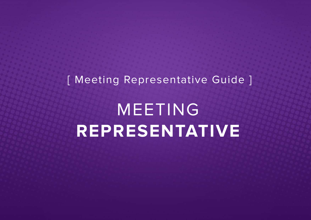## [ Meeting Representative Guide ]

## MEETING **REPRESENTATIVE**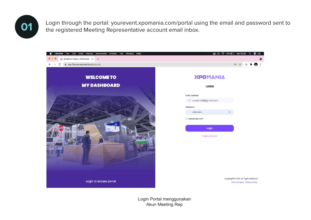

**01** Login through the portal: yourevent.xpomania.com/portal using the email and password sent to the registered Meeting Penrecentative account email inher the registered Meeting Representative account email inbox.



Login Portal menggunakan Akun Meeting Rep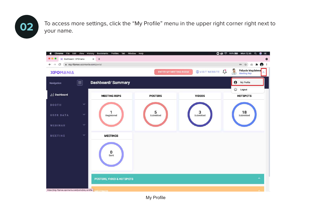

**02** To access more settings, click the "My Profile" menu in the upper right corner right next to your name.



My Profile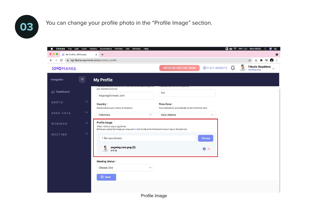

**03** You can change your profile photo in the "Profile Image" section.



Profile Image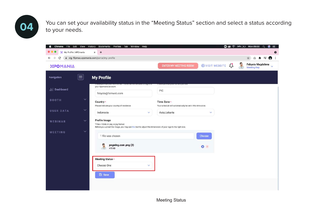You can set your availability status in the "Meeting Status" section and select a status according<br>
to your peeds to your needs.

| Chrome<br>File<br>Edit View<br>$\overline{\phantom{a}}$ | History<br>Bookmarks<br>Profiles<br>Tab<br>Window<br>Help                                                                                                          | <b>□ ③ </b> 34% [ <del>1</del> ] Mon 09.50                                | 编<br>$\alpha$<br>$\equiv$                                       |
|---------------------------------------------------------|--------------------------------------------------------------------------------------------------------------------------------------------------------------------|---------------------------------------------------------------------------|-----------------------------------------------------------------|
| My Profile   XPOmania                                   | $\ddot{}$<br>$\times$                                                                                                                                              |                                                                           | $\bullet$                                                       |
| C<br>$\leftarrow$                                       | stg-flipmas.xpomania.com/portal/my-profile                                                                                                                         |                                                                           | ◎ ★ 三<br>8<br>☆<br>÷                                            |
| ΧΡΟΜΑΝΙΑ                                                |                                                                                                                                                                    | $\bigoplus$ VISIT WEBSITE $\bigcup$<br><b>ENTER MY MEETING ROOM</b>       | Febyola Magdalena<br>$\ddot{\phantom{0}}$<br><b>Meeting Rep</b> |
| $\equiv$<br>Navigation                                  | <b>My Profile</b>                                                                                                                                                  |                                                                           |                                                                 |
| 11 Dashboard                                            | your Xpomania account.<br>febyola@fxmweb.com                                                                                                                       | PIC                                                                       |                                                                 |
| $\checkmark$<br><b>BOOTH</b>                            | Country +<br>Please indicate your country of residence.                                                                                                            | Time Zone +<br>Your schedule will automatically be set in this time zone. |                                                                 |
| $\checkmark$<br><b>USER DATA</b>                        | Indonesia<br>$\checkmark$                                                                                                                                          | Asia/Jakarta<br>$\checkmark$                                              |                                                                 |
| $\checkmark$<br>WEBINAR                                 | Profile Image<br>*Files <10mb, in png or jpg format<br>Before you upload the image, you may use this tool to adjust the dimensions of your logo to the right size. |                                                                           |                                                                 |
| $\checkmark$<br><b>MEETING</b>                          | 1 file was chosen                                                                                                                                                  | Choose                                                                    |                                                                 |
|                                                         | pngwing.com.png (2)<br>475 KB                                                                                                                                      | $\bullet$                                                                 |                                                                 |
|                                                         | Meeting Status *<br>Choose One<br>$\checkmark$                                                                                                                     |                                                                           |                                                                 |
|                                                         | <b>B</b> Save                                                                                                                                                      |                                                                           |                                                                 |
|                                                         |                                                                                                                                                                    |                                                                           |                                                                 |

Meeting Status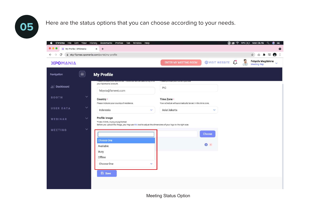**05** Here are the status options that you can choose according to your needs.



Meeting Status Option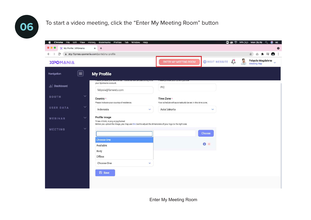## **06** To start a video meeting, click the "Enter My Meeting Room" button

| File Edit View<br>Chrome<br>$\mathbf{C}$ | History<br>Bookmarks Profiles Tab Window<br>Help                                                                                                                   |                                                                           |                       | <b>□ ⑧ 今 34% [4] Mon 09.49</b><br>۵<br>$\alpha$<br>$=$              |
|------------------------------------------|--------------------------------------------------------------------------------------------------------------------------------------------------------------------|---------------------------------------------------------------------------|-----------------------|---------------------------------------------------------------------|
| X My Profile   XPOmania                  | $+$<br>×                                                                                                                                                           |                                                                           |                       | $\bullet$                                                           |
| $\leftarrow$ $\rightarrow$<br>C          | stg-flipmas.xpomania.com/portal/my-profile                                                                                                                         |                                                                           |                       | $\equiv$<br>☆<br>Ű.<br>$\ddot{z}$<br>$\ast$<br>8                    |
| ΧΡΟΜΑΝΙΑ                                 |                                                                                                                                                                    | <b>ENTER MY MEETING ROOM</b>                                              | <b>OVISIT WEBSITE</b> | P<br>Febyola Magdalena<br>$\ddot{\mathbf{v}}$<br><b>Meeting Rep</b> |
| $ \equiv $<br>Navigation                 | <b>My Profile</b>                                                                                                                                                  |                                                                           |                       |                                                                     |
| III Dashboard                            | your Xpomania account.<br>febyola@fxmweb.com                                                                                                                       | <b>Electric Character (Claracter Character)</b><br>PIC                    |                       |                                                                     |
| $\checkmark$<br><b>BOOTH</b>             | Country *<br>Please indicate your country of residence.                                                                                                            | Time Zone *<br>Your schedule will automatically be set in this time zone. |                       |                                                                     |
| $\checkmark$<br><b>USER DATA</b>         | Indonesia<br>v.                                                                                                                                                    | Asia/Jakarta                                                              | v                     |                                                                     |
| $\checkmark$<br>WEBINAR                  | Profile Image<br>*Files <10mb, in png or jpg format<br>Before you upload the image, you may use this tool to adjust the dimensions of your logo to the right size. |                                                                           |                       |                                                                     |
| $\checkmark$<br><b>MEETING</b>           |                                                                                                                                                                    |                                                                           | Choose                |                                                                     |
|                                          | <b>Choose One</b>                                                                                                                                                  |                                                                           | $\bullet$ $\ast$      |                                                                     |
|                                          | Available                                                                                                                                                          |                                                                           |                       |                                                                     |
|                                          | Busy<br>Offline                                                                                                                                                    |                                                                           |                       |                                                                     |
|                                          |                                                                                                                                                                    |                                                                           |                       |                                                                     |
|                                          | Choose One<br>v                                                                                                                                                    |                                                                           |                       |                                                                     |
|                                          | <b>日</b> Save                                                                                                                                                      |                                                                           |                       |                                                                     |
|                                          |                                                                                                                                                                    |                                                                           |                       |                                                                     |

Enter My Meeting Room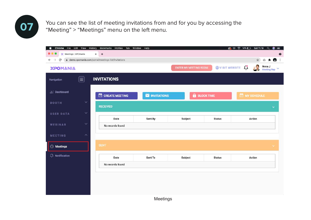

You can see the list of meeting invitations from and for you by accessing the "Meeting" > "Meetings" menu on the left menu.

| Chrome<br>á.<br>File Edit View             | History<br>Bookmarks<br>Profiles<br>Tab Window     | Help               |                              |                   | <b>© 14%□ Sat 11.19</b><br>$\circledast$<br>$\alpha$<br>$=$ |
|--------------------------------------------|----------------------------------------------------|--------------------|------------------------------|-------------------|-------------------------------------------------------------|
| X Meetings   XPOmania                      | $^{+}$<br>$\times$                                 |                    |                              |                   | $\bullet$                                                   |
| $\leftarrow$ $\rightarrow$<br>$\mathbf{C}$ | demo.xpomania.com/portal/meetings-list/invitations |                    |                              |                   | $\bullet$<br>立<br>ū<br>я                                    |
| ΧΡΟΜΑΝΙΑ                                   |                                                    |                    | <b>ENTER MY MEETING ROOM</b> |                   | Anna J<br><b>OVISIT WEBSITE</b><br>5<br>Meeting Rep $\vee$  |
| $\left(\equiv\right)$<br>Navigation        | <b>INVITATIONS</b>                                 |                    |                              |                   |                                                             |
| ill Dashboard                              | C CREATE MEETING                                   | <b>MINITATIONS</b> |                              | <b>BLOCK TIME</b> | MY SCHEDULE                                                 |
| $\checkmark$<br><b>BOOTH</b>               | <b>RECEIVED</b>                                    |                    |                              |                   | v                                                           |
| $\checkmark$<br><b>USER DATA</b>           | Date                                               | Sent By            | Subject                      | <b>Status</b>     | Action                                                      |
| $\checkmark$<br>WEBINAR                    | No records found                                   |                    |                              |                   |                                                             |
| ٨<br>MEETING                               |                                                    |                    |                              |                   |                                                             |
| $\odot$ Meetings                           | <b>SENT</b>                                        |                    |                              |                   | $\checkmark$                                                |
| $\mathcal{Q}$ Notification                 | Date                                               | Sent To            | Subject                      | <b>Status</b>     | <b>Action</b>                                               |
|                                            | No records found                                   |                    |                              |                   |                                                             |
|                                            |                                                    |                    |                              |                   |                                                             |
|                                            |                                                    |                    |                              |                   |                                                             |
|                                            |                                                    |                    |                              |                   |                                                             |
|                                            |                                                    |                    |                              |                   |                                                             |
|                                            |                                                    | <b>Meetings</b>    |                              |                   |                                                             |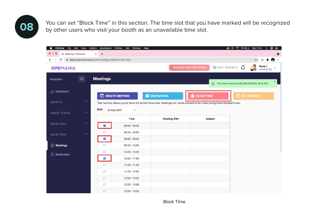You can set "Block Time" in this section. The time slot that you have marked will be recognized<br>by other users who visit your booth as an unavailable time slot by other users who visit your booth as an unavailable time slot.

| File Edit View<br>Chrome<br>œ | History                                                   | Bookmarks            | Profiles Tab<br>Window Help |                                                                                                                               |                                                | 6<br>≡                                                           |
|-------------------------------|-----------------------------------------------------------|----------------------|-----------------------------|-------------------------------------------------------------------------------------------------------------------------------|------------------------------------------------|------------------------------------------------------------------|
| X Meetings   XPOmania         | x                                                         | $+$                  |                             |                                                                                                                               |                                                |                                                                  |
| C<br>$\leftarrow$             | @ demo.xpomania.com/portal/meetings-list/block-time-list/ |                      |                             |                                                                                                                               |                                                | ●■<br>☆<br>ů                                                     |
| <b>XPOMANIA</b>               |                                                           |                      |                             |                                                                                                                               | <b>OVISIT WEBSITE</b><br>ENTER MY MEETING ROOM | Anna J<br>Ų<br>$\checkmark$<br><b>Meeting Rep</b>                |
| Navigation                    | $ \equiv $                                                | <b>Meetings</b>      |                             |                                                                                                                               |                                                | $\times$<br>$\odot$ You have successfully blocked the time slot. |
| III Dashboard                 |                                                           |                      | CREATE MEETING              | <b>NUITATIONS</b>                                                                                                             | $\hat{\mathbf{a}}$<br><b>BLOCK TIME</b>        | <b>MY SCHEDULE</b>                                               |
| <b>BOOTH</b>                  | $\checkmark$                                              |                      |                             | This function allows you to block off certain time slots. Meetings will not be allowed to be made during these blocked times. |                                                |                                                                  |
| <b>USER DATA</b>              | $\checkmark$                                              | Date                 | 30 Sep 2021<br>v            |                                                                                                                               |                                                |                                                                  |
| WEBINAR                       | $\checkmark$                                              |                      | Time                        | <b>Meeting With</b>                                                                                                           | Subject                                        |                                                                  |
|                               |                                                           | $\blacktriangledown$ | 08:00 - 08:30               |                                                                                                                               |                                                |                                                                  |
| <b>MEETING</b>                | $\wedge$                                                  | $\Box$               | 08:30 - 09:00               |                                                                                                                               |                                                |                                                                  |
|                               |                                                           | ø                    | 09:00 - 09:30               |                                                                                                                               |                                                |                                                                  |
| <b>O</b> Meetings             |                                                           | $\Box$               | 09:30 - 10:00               |                                                                                                                               |                                                |                                                                  |
|                               |                                                           | $\Box$               | 10:00 - 10:30               |                                                                                                                               |                                                |                                                                  |
| $\Box$ Notification           |                                                           | $\mathcal{L}$        | 10:30 - 11:00               |                                                                                                                               |                                                |                                                                  |
|                               |                                                           |                      |                             |                                                                                                                               |                                                |                                                                  |
|                               |                                                           | $\Box$               | $11:00 - 11:30$             |                                                                                                                               |                                                |                                                                  |
|                               |                                                           | $\Box$               | 11:30 - 12:00               |                                                                                                                               |                                                |                                                                  |
|                               |                                                           | $\Box$               | 12:00 - 12:30               |                                                                                                                               |                                                |                                                                  |
|                               |                                                           | $\Box$               | 12:30 - 13:00               |                                                                                                                               |                                                |                                                                  |

Block TIme